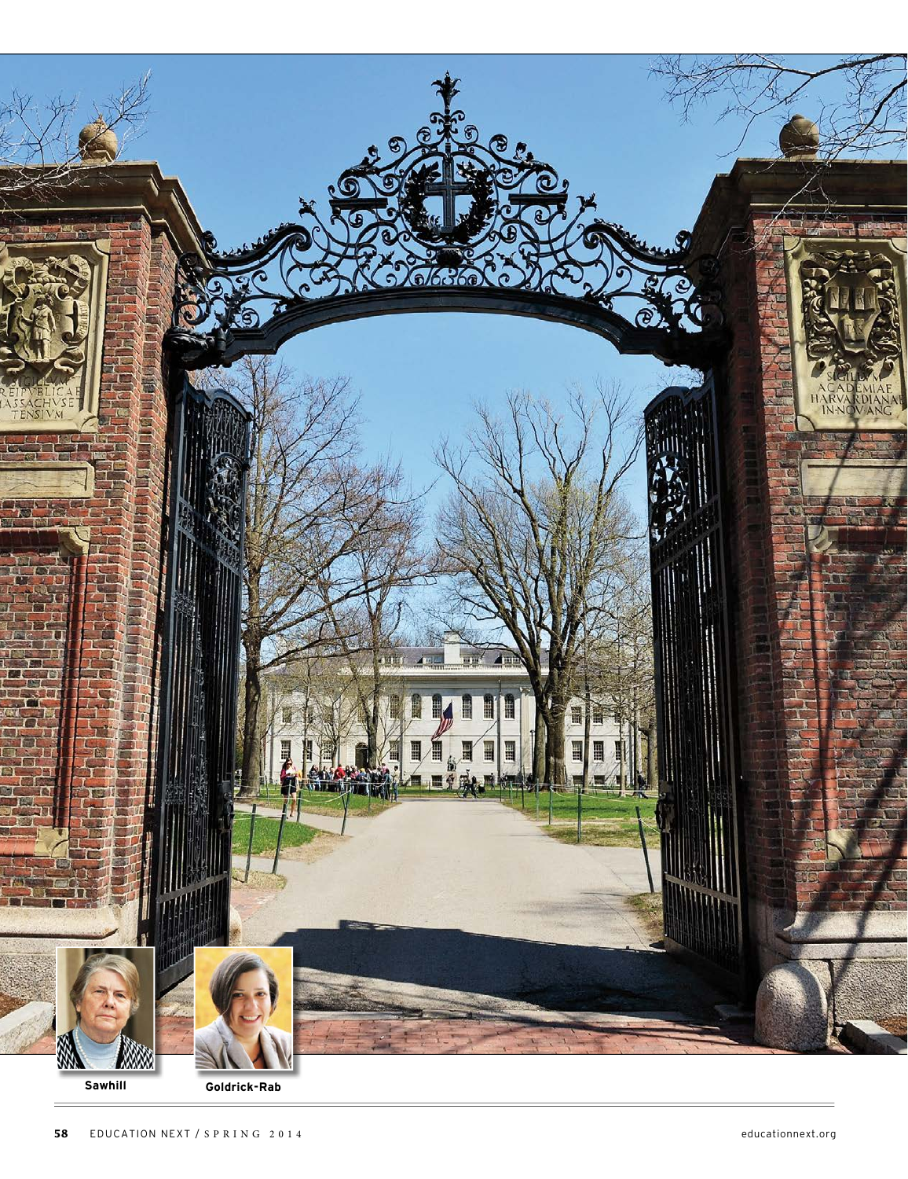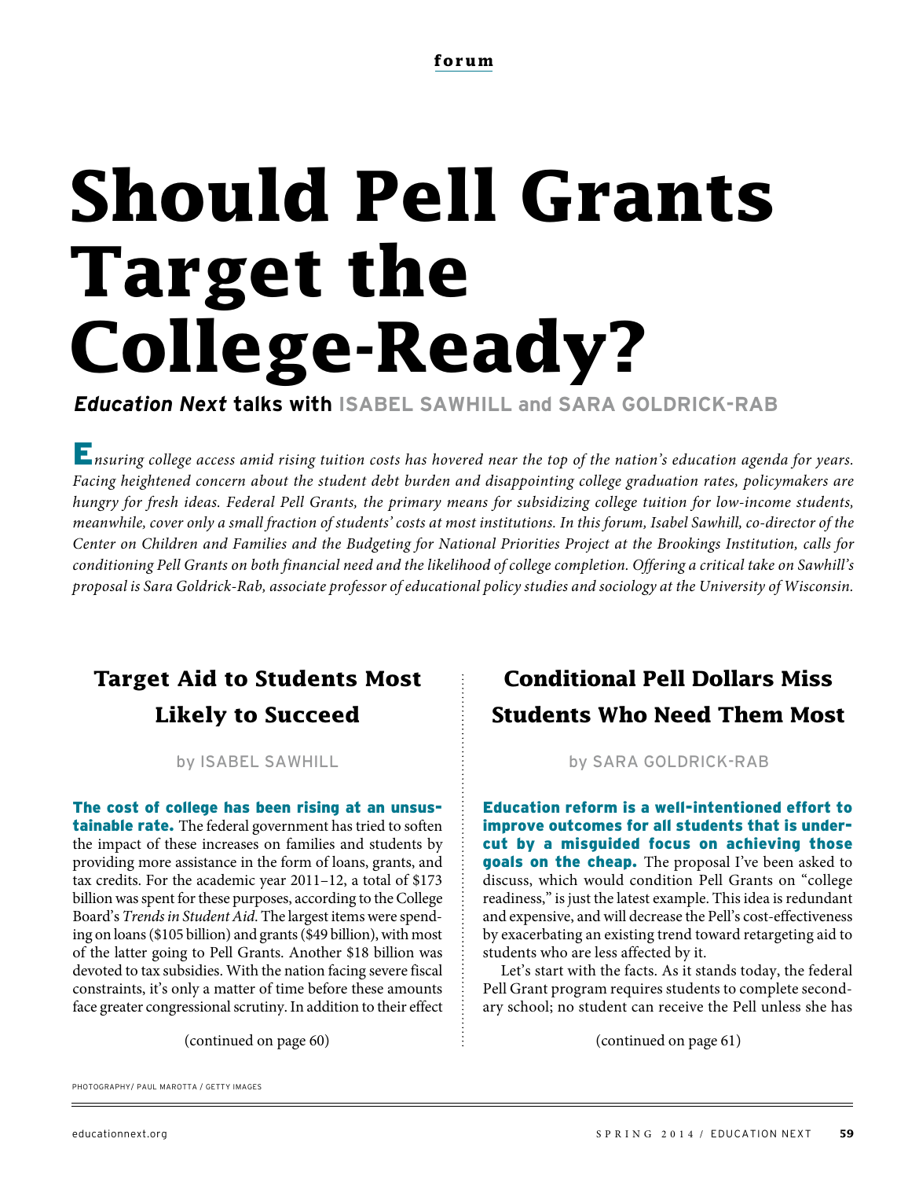# **Should Pell Grants Target the College-Ready?**

*Education Next* **talks with ISABEL SAWHILL and SARA GOLDRICK-RAB**

**E**nsuring college access amid rising tuition costs has hovered near the top of the nation's education agenda for years. Facing heightened concern about the student debt burden and disappointing college graduation rates, policymakers are hungry for fresh ideas. Federal Pell Grants, the primary means for subsidizing college tuition for low-income students, meanwhile, cover only a small fraction of students' costs at most institutions. In this forum, Isabel Sawhill, co-director of the Center on Children and Families and the Budgeting for National Priorities Project at the Brookings Institution, calls for conditioning Pell Grants on both financial need and the likelihood of college completion. Offering a critical take on Sawhill's proposal is Sara Goldrick-Rab, associate professor of educational policy studies and sociology at the University of Wisconsin.

## **Target Aid to Students Most Likely to Succeed**

The cost of college has been rising at an unsus**tainable rate.** The federal government has tried to soften the impact of these increases on families and students by providing more assistance in the form of loans, grants, and tax credits. For the academic year 2011–12, a total of \$173 billion was spent for these purposes, according to the College Board's Trends in Student Aid. The largest items were spending on loans (\$105 billion) and grants (\$49 billion), with most of the latter going to Pell Grants. Another \$18 billion was devoted to tax subsidies. With the nation facing severe fiscal constraints, it's only a matter of time before these amounts face greater congressional scrutiny. In addition to their effect

### **Conditional Pell Dollars Miss Students Who Need Them Most**

by ISABEL SAWHILL by SARA GOLDRICK-RAB

Education reform is a well-intentioned effort to improve outcomes for all students that is undercut by a misguided focus on achieving those goals on the cheap. The proposal I've been asked to discuss, which would condition Pell Grants on "college readiness," is just the latest example. This idea is redundant and expensive, and will decrease the Pell's cost-effectiveness by exacerbating an existing trend toward retargeting aid to students who are less affected by it.

Let's start with the facts. As it stands today, the federal Pell Grant program requires students to complete secondary school; no student can receive the Pell unless she has

(continued on page 60)  $\vdots$  (continued on page 61)

PHOTOGRAPHY/ PAUL MAROTTA / GETTY IMAGES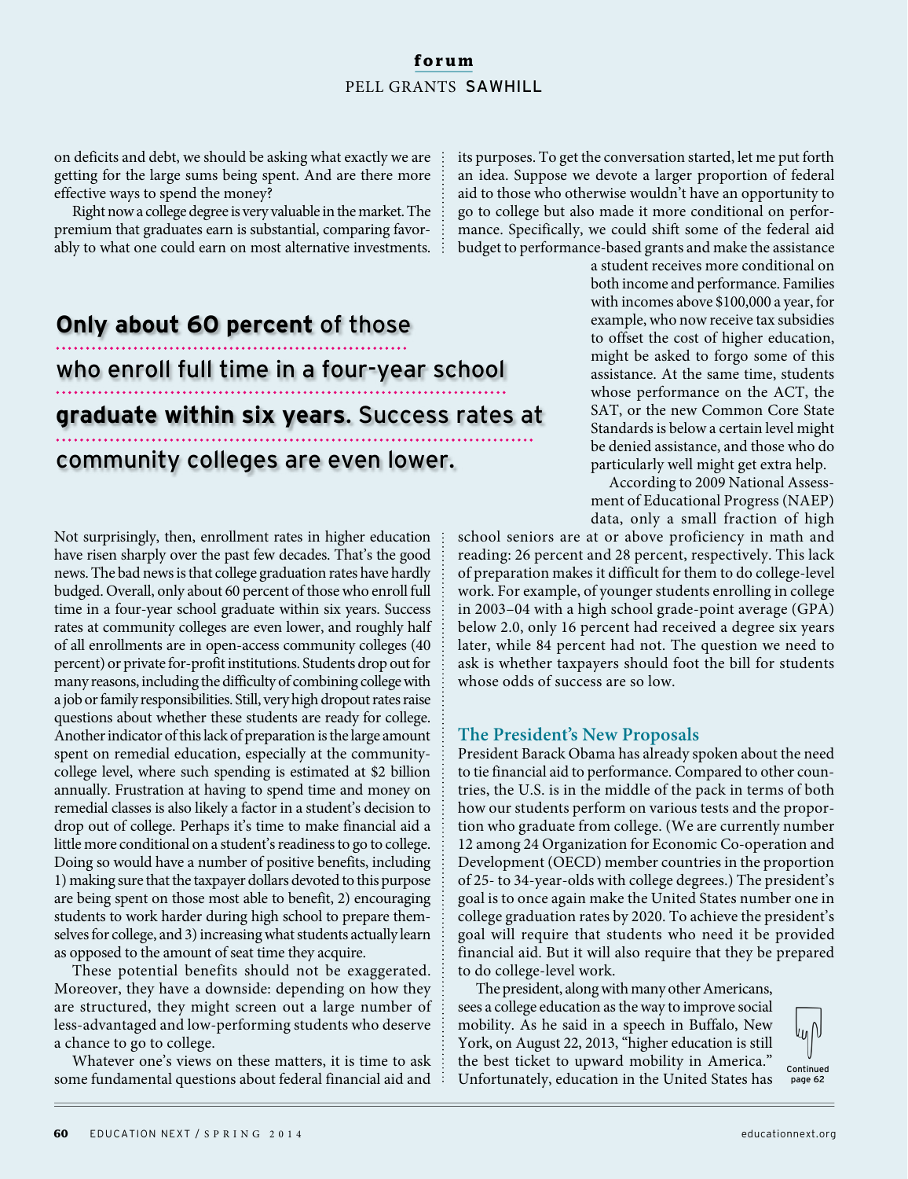#### **forum** PELL GRANTS SAWHILL

on deficits and debt, we should be asking what exactly we are getting for the large sums being spent. And are there more effective ways to spend the money?

Right now a college degree is very valuable in the market. The premium that graduates earn is substantial, comparing favorably to what one could earn on most alternative investments.

# **Only about 60 percent** of those who enroll full time in a four-year school **graduate within six years**. Success rates at community colleges are even lower.

Not surprisingly, then, enrollment rates in higher education have risen sharply over the past few decades. That's the good news. The bad news is that college graduation rates have hardly budged. Overall, only about 60 percent of those who enroll full time in a four-year school graduate within six years. Success rates at community colleges are even lower, and roughly half of all enrollments are in open-access community colleges (40 percent) or private for-profit institutions. Students drop out for many reasons, including the difficulty of combining college with a job or family responsibilities. Still, very high dropout rates raise questions about whether these students are ready for college. Another indicator of this lack of preparation is the large amount spent on remedial education, especially at the communitycollege level, where such spending is estimated at \$2 billion annually. Frustration at having to spend time and money on remedial classes is also likely a factor in a student's decision to drop out of college. Perhaps it's time to make financial aid a little more conditional on a student's readiness to go to college. Doing so would have a number of positive benefits, including 1) making sure that the taxpayer dollars devoted to this purpose are being spent on those most able to benefit, 2) encouraging students to work harder during high school to prepare themselves for college, and 3) increasing what students actually learn as opposed to the amount of seat time they acquire.

These potential benefits should not be exaggerated. Moreover, they have a downside: depending on how they are structured, they might screen out a large number of less-advantaged and low-performing students who deserve a chance to go to college.

Whatever one's views on these matters, it is time to ask some fundamental questions about federal financial aid and its purposes. To get the conversation started, let me put forth an idea. Suppose we devote a larger proportion of federal aid to those who otherwise wouldn't have an opportunity to go to college but also made it more conditional on performance. Specifically, we could shift some of the federal aid budget to performance-based grants and make the assistance

a student receives more conditional on both income and performance. Families with incomes above \$100,000 a year, for example, who now receive tax subsidies to offset the cost of higher education, might be asked to forgo some of this assistance. At the same time, students whose performance on the ACT, the SAT, or the new Common Core State Standards is below a certain level might be denied assistance, and those who do particularly well might get extra help.

According to 2009 National Assessment of Educational Progress (NAEP) data, only a small fraction of high

school seniors are at or above proficiency in math and reading: 26 percent and 28 percent, respectively. This lack of preparation makes it difficult for them to do college-level work. For example, of younger students enrolling in college in 2003–04 with a high school grade-point average (GPA) below 2.0, only 16 percent had received a degree six years later, while 84 percent had not. The question we need to ask is whether taxpayers should foot the bill for students whose odds of success are so low.

#### **The President's New Proposals**

President Barack Obama has already spoken about the need to tie financial aid to performance. Compared to other countries, the U.S. is in the middle of the pack in terms of both how our students perform on various tests and the proportion who graduate from college. (We are currently number 12 among 24 Organization for Economic Co-operation and Development (OECD) member countries in the proportion of 25- to 34-year-olds with college degrees.) The president's goal is to once again make the United States number one in college graduation rates by 2020. To achieve the president's goal will require that students who need it be provided financial aid. But it will also require that they be prepared to do college-level work.

The president, along with many other Americans, sees a college education as the way to improve social mobility. As he said in a speech in Buffalo, New York, on August 22, 2013, "higher education is still the best ticket to upward mobility in America." Unfortunately, education in the United States has



page 62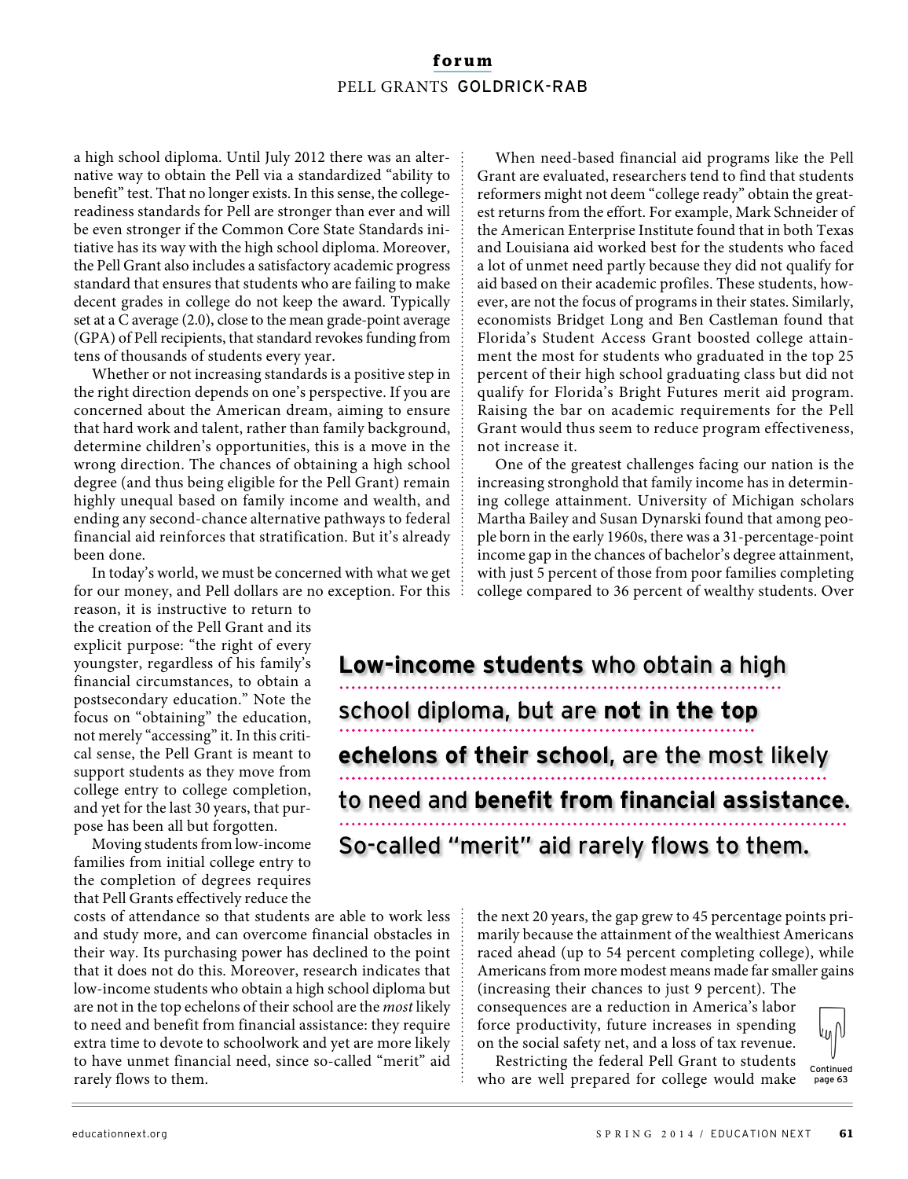#### **forum** PELL GRANTS GOLDRICK-RAB

a high school diploma. Until July 2012 there was an alternative way to obtain the Pell via a standardized "ability to benefit" test. That no longer exists. In this sense, the collegereadiness standards for Pell are stronger than ever and will be even stronger if the Common Core State Standards initiative has its way with the high school diploma. Moreover, the Pell Grant also includes a satisfactory academic progress standard that ensures that students who are failing to make decent grades in college do not keep the award. Typically set at a C average (2.0), close to the mean grade-point average (GPA) of Pell recipients, that standard revokes funding from tens of thousands of students every year.

Whether or not increasing standards is a positive step in the right direction depends on one's perspective. If you are concerned about the American dream, aiming to ensure that hard work and talent, rather than family background, determine children's opportunities, this is a move in the wrong direction. The chances of obtaining a high school degree (and thus being eligible for the Pell Grant) remain highly unequal based on family income and wealth, and ending any second-chance alternative pathways to federal financial aid reinforces that stratification. But it's already been done.

In today's world, we must be concerned with what we get for our money, and Pell dollars are no exception. For this

reason, it is instructive to return to the creation of the Pell Grant and its explicit purpose: "the right of every youngster, regardless of his family's financial circumstances, to obtain a postsecondary education." Note the focus on "obtaining" the education, not merely "accessing" it. In this critical sense, the Pell Grant is meant to support students as they move from college entry to college completion, and yet for the last 30 years, that purpose has been all but forgotten.

Moving students from low-income families from initial college entry to the completion of degrees requires that Pell Grants effectively reduce the

costs of attendance so that students are able to work less and study more, and can overcome financial obstacles in their way. Its purchasing power has declined to the point that it does not do this. Moreover, research indicates that low-income students who obtain a high school diploma but are not in the top echelons of their school are the most likely to need and benefit from financial assistance: they require extra time to devote to schoolwork and yet are more likely to have unmet financial need, since so-called "merit" aid rarely flows to them.

When need-based financial aid programs like the Pell Grant are evaluated, researchers tend to find that students reformers might not deem "college ready" obtain the greatest returns from the effort. For example, Mark Schneider of the American Enterprise Institute found that in both Texas and Louisiana aid worked best for the students who faced a lot of unmet need partly because they did not qualify for aid based on their academic profiles. These students, however, are not the focus of programs in their states. Similarly, economists Bridget Long and Ben Castleman found that Florida's Student Access Grant boosted college attainment the most for students who graduated in the top 25 percent of their high school graduating class but did not qualify for Florida's Bright Futures merit aid program. Raising the bar on academic requirements for the Pell Grant would thus seem to reduce program effectiveness, not increase it.

One of the greatest challenges facing our nation is the increasing stronghold that family income has in determining college attainment. University of Michigan scholars Martha Bailey and Susan Dynarski found that among people born in the early 1960s, there was a 31-percentage-point income gap in the chances of bachelor's degree attainment, with just 5 percent of those from poor families completing college compared to 36 percent of wealthy students. Over

**Low-income students** who obtain a high school diploma, but are **not in the top echelons of their school**, are the most likely to need and **benefit from financial assistance**. So-called "merit" aid rarely flows to them.

> the next 20 years, the gap grew to 45 percentage points primarily because the attainment of the wealthiest Americans raced ahead (up to 54 percent completing college), while Americans from more modest means made far smaller gains

(increasing their chances to just 9 percent). The consequences are a reduction in America's labor force productivity, future increases in spending on the social safety net, and a loss of tax revenue.

l<sub>ΨI</sub>N

page 63

Restricting the federal Pell Grant to students who are well prepared for college would make

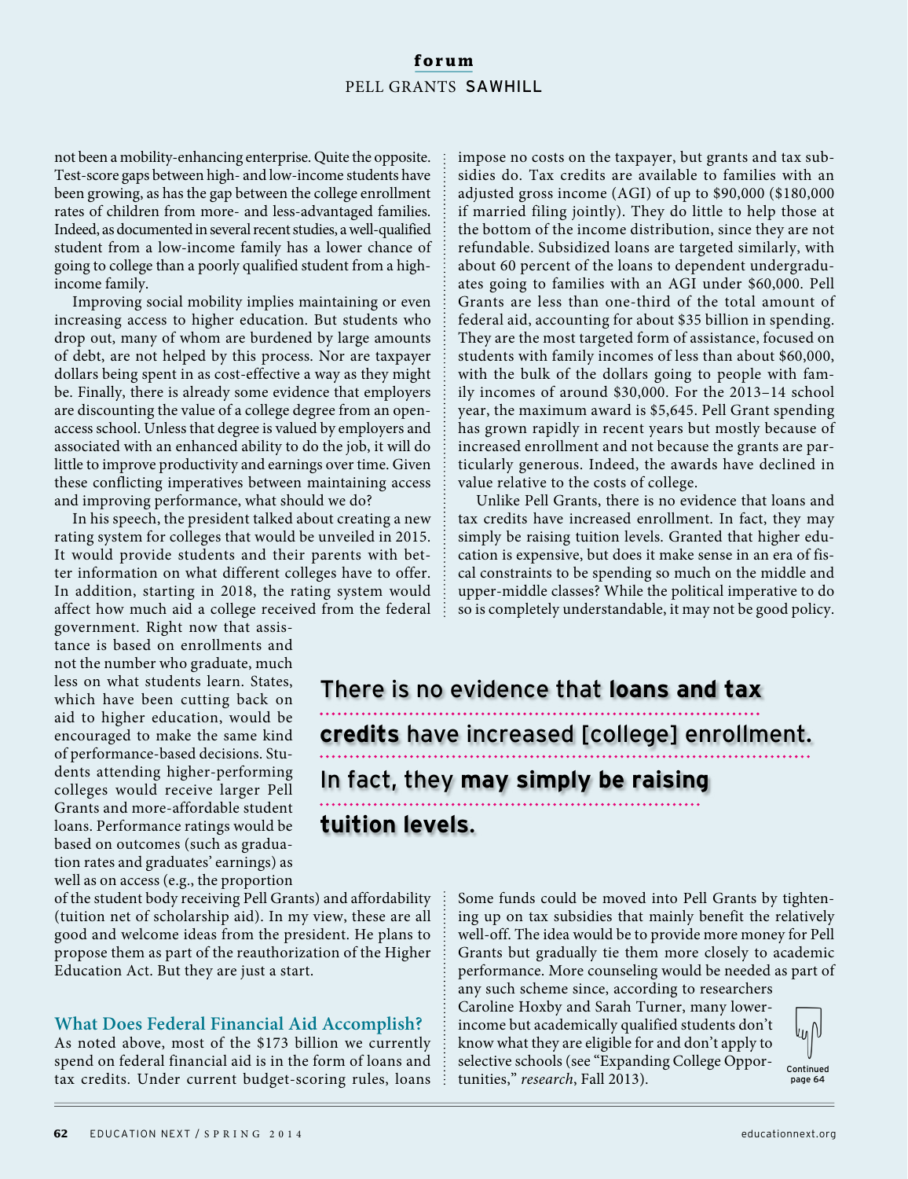#### **forum** PELL GRANTS SAWHILL

not been a mobility-enhancing enterprise. Quite the opposite. Test-score gaps between high- and low-income students have been growing, as has the gap between the college enrollment rates of children from more- and less-advantaged families. Indeed, as documented in several recent studies, a well-qualified student from a low-income family has a lower chance of going to college than a poorly qualified student from a highincome family.

Improving social mobility implies maintaining or even increasing access to higher education. But students who drop out, many of whom are burdened by large amounts of debt, are not helped by this process. Nor are taxpayer dollars being spent in as cost-effective a way as they might be. Finally, there is already some evidence that employers are discounting the value of a college degree from an openaccess school. Unless that degree is valued by employers and associated with an enhanced ability to do the job, it will do little to improve productivity and earnings over time. Given these conflicting imperatives between maintaining access and improving performance, what should we do?

In his speech, the president talked about creating a new rating system for colleges that would be unveiled in 2015. It would provide students and their parents with better information on what different colleges have to offer. In addition, starting in 2018, the rating system would affect how much aid a college received from the federal

government. Right now that assistance is based on enrollments and not the number who graduate, much less on what students learn. States, which have been cutting back on aid to higher education, would be encouraged to make the same kind of performance-based decisions. Students attending higher-performing colleges would receive larger Pell Grants and more-affordable student loans. Performance ratings would be based on outcomes (such as graduation rates and graduates' earnings) as well as on access (e.g., the proportion

of the student body receiving Pell Grants) and affordability (tuition net of scholarship aid). In my view, these are all good and welcome ideas from the president. He plans to propose them as part of the reauthorization of the Higher Education Act. But they are just a start.

#### **What Does Federal Financial Aid Accomplish?**

As noted above, most of the \$173 billion we currently spend on federal financial aid is in the form of loans and tax credits. Under current budget-scoring rules, loans impose no costs on the taxpayer, but grants and tax subsidies do. Tax credits are available to families with an adjusted gross income (AGI) of up to \$90,000 (\$180,000 if married filing jointly). They do little to help those at the bottom of the income distribution, since they are not refundable. Subsidized loans are targeted similarly, with about 60 percent of the loans to dependent undergraduates going to families with an AGI under \$60,000. Pell Grants are less than one-third of the total amount of federal aid, accounting for about \$35 billion in spending. They are the most targeted form of assistance, focused on students with family incomes of less than about \$60,000, with the bulk of the dollars going to people with family incomes of around \$30,000. For the 2013–14 school year, the maximum award is \$5,645. Pell Grant spending has grown rapidly in recent years but mostly because of increased enrollment and not because the grants are particularly generous. Indeed, the awards have declined in value relative to the costs of college.

Unlike Pell Grants, there is no evidence that loans and tax credits have increased enrollment. In fact, they may simply be raising tuition levels. Granted that higher education is expensive, but does it make sense in an era of fiscal constraints to be spending so much on the middle and upper-middle classes? While the political imperative to do so is completely understandable, it may not be good policy.

There is no evidence that **loans and tax credits** have increased [college] enrollment. In fact, they **may simply be raising tuition levels**.

> Some funds could be moved into Pell Grants by tightening up on tax subsidies that mainly benefit the relatively well-off. The idea would be to provide more money for Pell Grants but gradually tie them more closely to academic performance. More counseling would be needed as part of any such scheme since, according to researchers Caroline Hoxby and Sarah Turner, many lowerincome but academically qualified students don't

know what they are eligible for and don't apply to selective schools (see "Expanding College Opportunities," research, Fall 2013).

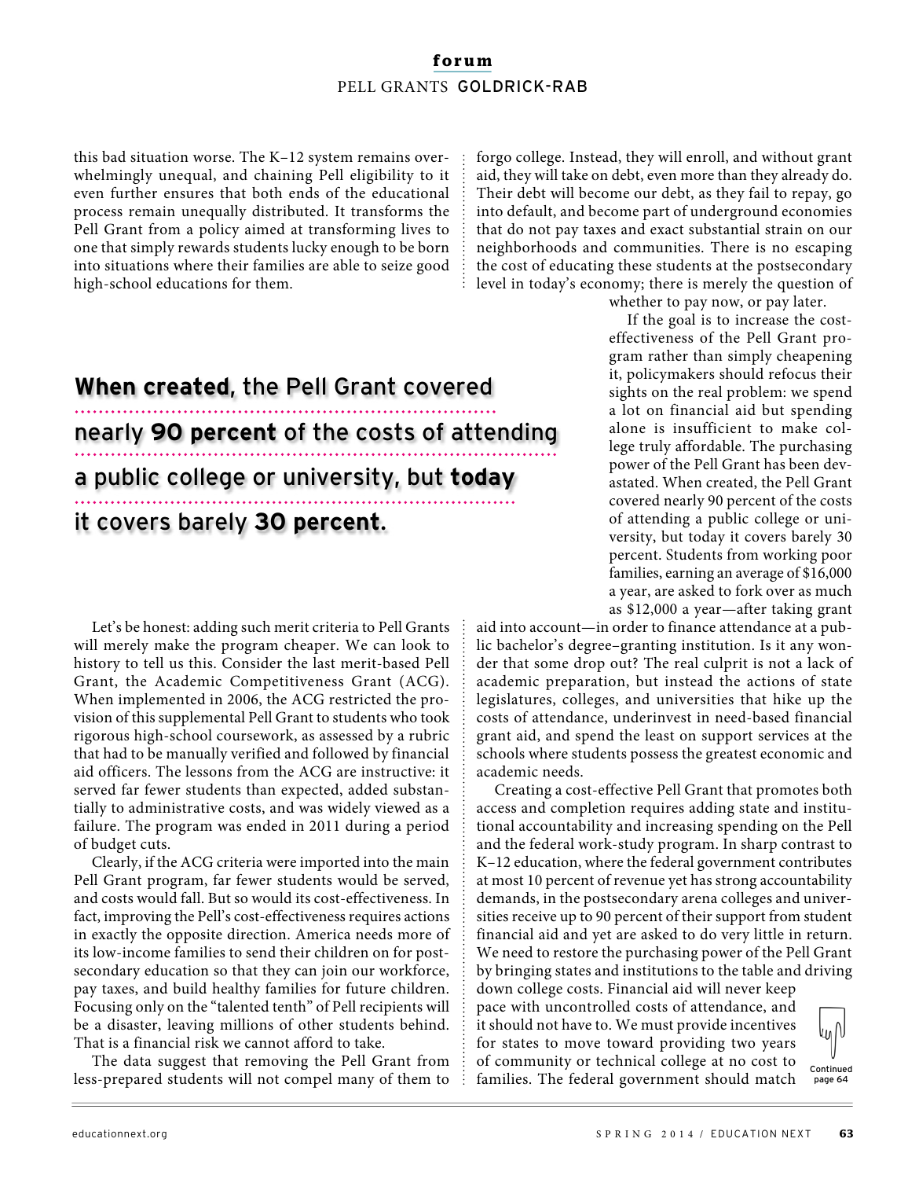#### **forum** PELL GRANTS GOLDRICK-RAB

this bad situation worse. The K–12 system remains overwhelmingly unequal, and chaining Pell eligibility to it even further ensures that both ends of the educational process remain unequally distributed. It transforms the Pell Grant from a policy aimed at transforming lives to one that simply rewards students lucky enough to be born into situations where their families are able to seize good high-school educations for them.

## **When created**, the Pell Grant covered nearly **90 percent** of the costs of attending a public college or university, but **today** it covers barely **30 percent**.

Let's be honest: adding such merit criteria to Pell Grants will merely make the program cheaper. We can look to history to tell us this. Consider the last merit-based Pell Grant, the Academic Competitiveness Grant (ACG). When implemented in 2006, the ACG restricted the provision of this supplemental Pell Grant to students who took rigorous high-school coursework, as assessed by a rubric that had to be manually verified and followed by financial aid officers. The lessons from the ACG are instructive: it served far fewer students than expected, added substantially to administrative costs, and was widely viewed as a failure. The program was ended in 2011 during a period of budget cuts.

Clearly, if the ACG criteria were imported into the main Pell Grant program, far fewer students would be served, and costs would fall. But so would its cost-effectiveness. In fact, improving the Pell's cost-effectiveness requires actions in exactly the opposite direction. America needs more of its low-income families to send their children on for postsecondary education so that they can join our workforce, pay taxes, and build healthy families for future children. Focusing only on the "talented tenth" of Pell recipients will be a disaster, leaving millions of other students behind. That is a financial risk we cannot afford to take.

The data suggest that removing the Pell Grant from less-prepared students will not compel many of them to

forgo college. Instead, they will enroll, and without grant aid, they will take on debt, even more than they already do. Their debt will become our debt, as they fail to repay, go into default, and become part of underground economies that do not pay taxes and exact substantial strain on our neighborhoods and communities. There is no escaping the cost of educating these students at the postsecondary level in today's economy; there is merely the question of

whether to pay now, or pay later.

If the goal is to increase the costeffectiveness of the Pell Grant program rather than simply cheapening it, policymakers should refocus their sights on the real problem: we spend a lot on financial aid but spending alone is insufficient to make college truly affordable. The purchasing power of the Pell Grant has been devastated. When created, the Pell Grant covered nearly 90 percent of the costs of attending a public college or university, but today it covers barely 30 percent. Students from working poor families, earning an average of \$16,000 a year, are asked to fork over as much as \$12,000 a year—after taking grant

aid into account—in order to finance attendance at a public bachelor's degree–granting institution. Is it any wonder that some drop out? The real culprit is not a lack of academic preparation, but instead the actions of state legislatures, colleges, and universities that hike up the costs of attendance, underinvest in need-based financial grant aid, and spend the least on support services at the schools where students possess the greatest economic and academic needs.

Creating a cost-effective Pell Grant that promotes both access and completion requires adding state and institutional accountability and increasing spending on the Pell and the federal work-study program. In sharp contrast to K–12 education, where the federal government contributes at most 10 percent of revenue yet has strong accountability demands, in the postsecondary arena colleges and universities receive up to 90 percent of their support from student financial aid and yet are asked to do very little in return. We need to restore the purchasing power of the Pell Grant by bringing states and institutions to the table and driving

down college costs. Financial aid will never keep pace with uncontrolled costs of attendance, and it should not have to. We must provide incentives for states to move toward providing two years of community or technical college at no cost to families. The federal government should match



Continued page 64